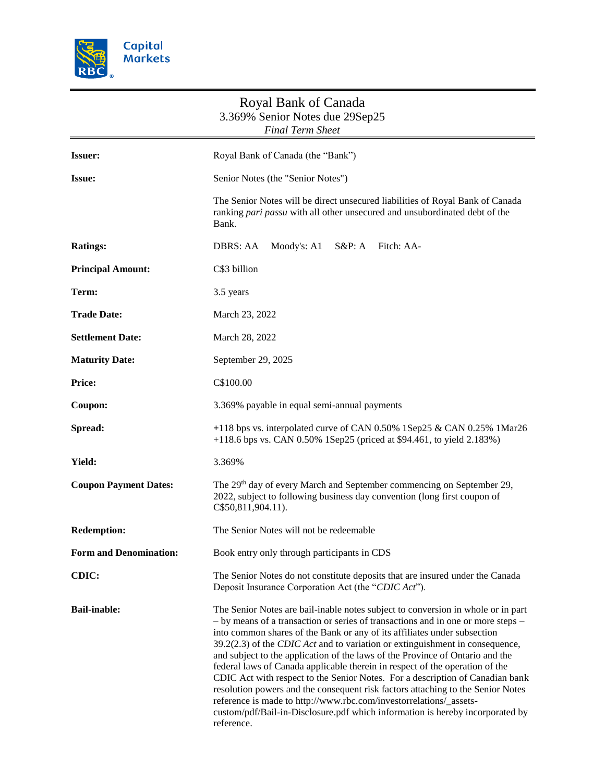

|                               | Royal Bank of Canada<br>3.369% Senior Notes due 29Sep25<br><b>Final Term Sheet</b>                                                                                                                                                                                                                                                                                                                                                                                                                                                                                                                                                                                                                                                                                                                                                         |
|-------------------------------|--------------------------------------------------------------------------------------------------------------------------------------------------------------------------------------------------------------------------------------------------------------------------------------------------------------------------------------------------------------------------------------------------------------------------------------------------------------------------------------------------------------------------------------------------------------------------------------------------------------------------------------------------------------------------------------------------------------------------------------------------------------------------------------------------------------------------------------------|
| <b>Issuer:</b>                | Royal Bank of Canada (the "Bank")                                                                                                                                                                                                                                                                                                                                                                                                                                                                                                                                                                                                                                                                                                                                                                                                          |
| <b>Issue:</b>                 | Senior Notes (the "Senior Notes")                                                                                                                                                                                                                                                                                                                                                                                                                                                                                                                                                                                                                                                                                                                                                                                                          |
|                               | The Senior Notes will be direct unsecured liabilities of Royal Bank of Canada<br>ranking pari passu with all other unsecured and unsubordinated debt of the<br>Bank.                                                                                                                                                                                                                                                                                                                                                                                                                                                                                                                                                                                                                                                                       |
| <b>Ratings:</b>               | Moody's: A1<br>DBRS: AA<br>$S\&P: A$<br>Fitch: AA-                                                                                                                                                                                                                                                                                                                                                                                                                                                                                                                                                                                                                                                                                                                                                                                         |
| <b>Principal Amount:</b>      | C\$3 billion                                                                                                                                                                                                                                                                                                                                                                                                                                                                                                                                                                                                                                                                                                                                                                                                                               |
| Term:                         | 3.5 years                                                                                                                                                                                                                                                                                                                                                                                                                                                                                                                                                                                                                                                                                                                                                                                                                                  |
| <b>Trade Date:</b>            | March 23, 2022                                                                                                                                                                                                                                                                                                                                                                                                                                                                                                                                                                                                                                                                                                                                                                                                                             |
| <b>Settlement Date:</b>       | March 28, 2022                                                                                                                                                                                                                                                                                                                                                                                                                                                                                                                                                                                                                                                                                                                                                                                                                             |
| <b>Maturity Date:</b>         | September 29, 2025                                                                                                                                                                                                                                                                                                                                                                                                                                                                                                                                                                                                                                                                                                                                                                                                                         |
| <b>Price:</b>                 | C\$100.00                                                                                                                                                                                                                                                                                                                                                                                                                                                                                                                                                                                                                                                                                                                                                                                                                                  |
| Coupon:                       | 3.369% payable in equal semi-annual payments                                                                                                                                                                                                                                                                                                                                                                                                                                                                                                                                                                                                                                                                                                                                                                                               |
| Spread:                       | +118 bps vs. interpolated curve of CAN 0.50% 1Sep25 & CAN 0.25% 1Mar26<br>+118.6 bps vs. CAN 0.50% 1Sep25 (priced at \$94.461, to yield 2.183%)                                                                                                                                                                                                                                                                                                                                                                                                                                                                                                                                                                                                                                                                                            |
| Yield:                        | 3.369%                                                                                                                                                                                                                                                                                                                                                                                                                                                                                                                                                                                                                                                                                                                                                                                                                                     |
| <b>Coupon Payment Dates:</b>  | The 29 <sup>th</sup> day of every March and September commencing on September 29,<br>2022, subject to following business day convention (long first coupon of<br>C\$50,811,904.11).                                                                                                                                                                                                                                                                                                                                                                                                                                                                                                                                                                                                                                                        |
| <b>Redemption:</b>            | The Senior Notes will not be redeemable                                                                                                                                                                                                                                                                                                                                                                                                                                                                                                                                                                                                                                                                                                                                                                                                    |
| <b>Form and Denomination:</b> | Book entry only through participants in CDS                                                                                                                                                                                                                                                                                                                                                                                                                                                                                                                                                                                                                                                                                                                                                                                                |
| CDIC:                         | The Senior Notes do not constitute deposits that are insured under the Canada<br>Deposit Insurance Corporation Act (the "CDIC Act").                                                                                                                                                                                                                                                                                                                                                                                                                                                                                                                                                                                                                                                                                                       |
| <b>Bail-inable:</b>           | The Senior Notes are bail-inable notes subject to conversion in whole or in part<br>- by means of a transaction or series of transactions and in one or more steps -<br>into common shares of the Bank or any of its affiliates under subsection<br>39.2(2.3) of the CDIC Act and to variation or extinguishment in consequence,<br>and subject to the application of the laws of the Province of Ontario and the<br>federal laws of Canada applicable therein in respect of the operation of the<br>CDIC Act with respect to the Senior Notes. For a description of Canadian bank<br>resolution powers and the consequent risk factors attaching to the Senior Notes<br>reference is made to http://www.rbc.com/investorrelations/_assets-<br>custom/pdf/Bail-in-Disclosure.pdf which information is hereby incorporated by<br>reference. |